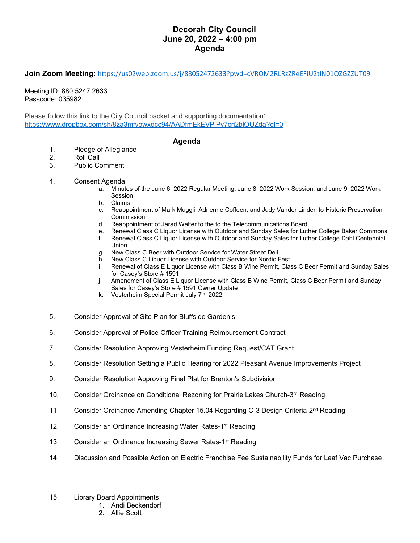## **Decorah City Council June 20, 2022 – 4:00 pm Agenda**

**Join Zoom Meeting:** <https://us02web.zoom.us/j/88052472633?pwd=cVROM2RLRzZReEFiU2tlN01OZGZZUT09>

Meeting ID: 880 5247 2633 Passcode: 035982

Please follow this link to the City Council packet and supporting documentation: <https://www.dropbox.com/sh/8za3mfyowxqcc94/AADfmEkEVPjPy7crj2blOUZda?dl=0>

## **Agenda**

- 1. Pledge of Allegiance
- 2. Roll Call<br>3. Public Co
- Public Comment
- 4. Consent Agenda
	- a. Minutes of the June 6, 2022 Regular Meeting, June 8, 2022 Work Session, and June 9, 2022 Work Session
	- b. Claims
	- c. Reappointment of Mark Muggli, Adrienne Coffeen, and Judy Vander Linden to Historic Preservation Commission
	- d. Reappointment of Jarad Walter to the to the Telecommunications Board
	- e. Renewal Class C Liquor License with Outdoor and Sunday Sales for Luther College Baker Commons<br>f. Renewal Class C Liquor License with Outdoor and Sunday Sales for Luther College Dahl Centennial
	- f. Renewal Class C Liquor License with Outdoor and Sunday Sales for Luther College Dahl Centennial Union
	- g. New Class C Beer with Outdoor Service for Water Street Deli
	- h. New Class C Liquor License with Outdoor Service for Nordic Fest
	- i. Renewal of Class E Liquor License with Class B Wine Permit, Class C Beer Permit and Sunday Sales for Casey's Store # 1591
	- j. Amendment of Class E Liquor License with Class B Wine Permit, Class C Beer Permit and Sunday Sales for Casey's Store # 1591 Owner Update
	- k. Vesterheim Special Permit July 7<sup>th</sup>, 2022
- 5. Consider Approval of Site Plan for Bluffside Garden's
- 6. Consider Approval of Police Officer Training Reimbursement Contract
- 7. Consider Resolution Approving Vesterheim Funding Request/CAT Grant
- 8. Consider Resolution Setting a Public Hearing for 2022 Pleasant Avenue Improvements Project
- 9. Consider Resolution Approving Final Plat for Brenton's Subdivision
- 10. Consider Ordinance on Conditional Rezoning for Prairie Lakes Church-3rd Reading
- 11. Consider Ordinance Amending Chapter 15.04 Regarding C-3 Design Criteria-2<sup>nd</sup> Reading
- 12. Consider an Ordinance Increasing Water Rates-1<sup>st</sup> Reading
- 13. Consider an Ordinance Increasing Sewer Rates-1<sup>st</sup> Reading
- 14. Discussion and Possible Action on Electric Franchise Fee Sustainability Funds for Leaf Vac Purchase
- 15. Library Board Appointments:
	- 1. Andi Beckendorf
	- 2. Allie Scott